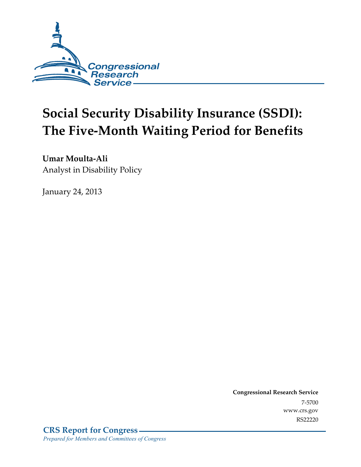

# **Social Security Disability Insurance (SSDI): The Five-Month Waiting Period for Benefits**

**Umar Moulta-Ali**  Analyst in Disability Policy

January 24, 2013

**Congressional Research Service**  7-5700 www.crs.gov RS22220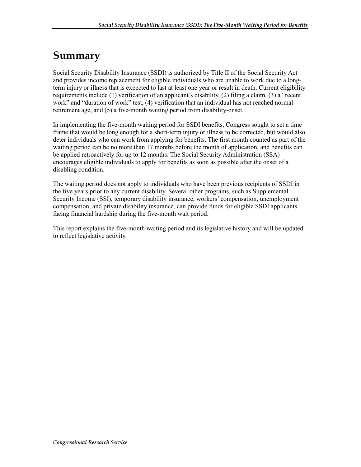## **Summary**

Social Security Disability Insurance (SSDI) is authorized by Title II of the Social Security Act and provides income replacement for eligible individuals who are unable to work due to a longterm injury or illness that is expected to last at least one year or result in death. Current eligibility requirements include (1) verification of an applicant's disability, (2) filing a claim, (3) a "recent work" and "duration of work" test, (4) verification that an individual has not reached normal retirement age, and (5) a five-month waiting period from disability-onset.

In implementing the five-month waiting period for SSDI benefits, Congress sought to set a time frame that would be long enough for a short-term injury or illness to be corrected, but would also deter individuals who can work from applying for benefits. The first month counted as part of the waiting period can be no more than 17 months before the month of application, and benefits can be applied retroactively for up to 12 months. The Social Security Administration (SSA) encourages eligible individuals to apply for benefits as soon as possible after the onset of a disabling condition.

The waiting period does not apply to individuals who have been previous recipients of SSDI in the five years prior to any current disability. Several other programs, such as Supplemental Security Income (SSI), temporary disability insurance, workers' compensation, unemployment compensation, and private disability insurance, can provide funds for eligible SSDI applicants facing financial hardship during the five-month wait period.

This report explains the five-month waiting period and its legislative history and will be updated to reflect legislative activity.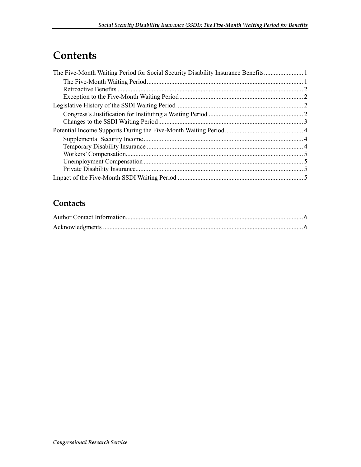## **Contents**

### **Contacts**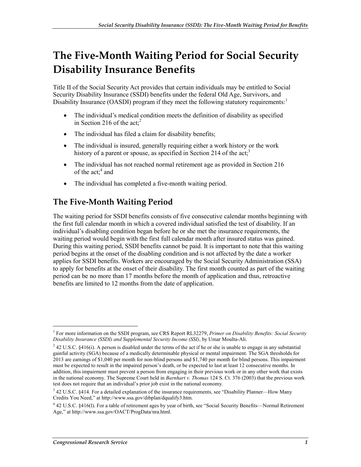# **The Five-Month Waiting Period for Social Security Disability Insurance Benefits**

Title II of the Social Security Act provides that certain individuals may be entitled to Social Security Disability Insurance (SSDI) benefits under the federal Old Age, Survivors, and Disability Insurance (OASDI) program if they meet the following statutory requirements: $1$ 

- The individual's medical condition meets the definition of disability as specified in Section 216 of the act;<sup>2</sup>
- The individual has filed a claim for disability benefits;
- The individual is insured, generally requiring either a work history or the work history of a parent or spouse, as specified in Section 214 of the  $act<sup>3</sup>$
- The individual has not reached normal retirement age as provided in Section 216 of the act;<sup>4</sup> and
- The individual has completed a five-month waiting period.

### **The Five-Month Waiting Period**

The waiting period for SSDI benefits consists of five consecutive calendar months beginning with the first full calendar month in which a covered individual satisfied the test of disability. If an individual's disabling condition began before he or she met the insurance requirements, the waiting period would begin with the first full calendar month after insured status was gained. During this waiting period, SSDI benefits cannot be paid. It is important to note that this waiting period begins at the onset of the disabling condition and is not affected by the date a worker applies for SSDI benefits. Workers are encouraged by the Social Security Administration (SSA) to apply for benefits at the onset of their disability. The first month counted as part of the waiting period can be no more than 17 months before the month of application and thus, retroactive benefits are limited to 12 months from the date of application.

<sup>1</sup> For more information on the SSDI program, see CRS Report RL32279, *Primer on Disability Benefits: Social Security Disability Insurance (SSDI) and Supplemental Security Income (SSI)*, by Umar Moulta-Ali.

 $^{2}$  42 U.S.C. §416(i). A person is disabled under the terms of the act if he or she is unable to engage in any substantial gainful activity (SGA) because of a medically determinable physical or mental impairment. The SGA thresholds for 2013 are earnings of \$1,040 per month for non-blind persons and \$1,740 per month for blind persons. This impairment must be expected to result in the impaired person's death, or be expected to last at least 12 consecutive months. In addition, this impairment must prevent a person from engaging in their previous work or in any other work that exists in the national economy. The Supreme Court held in *Barnhart v. Thomas* 124 S. Ct. 376 (2003) that the previous work test does not require that an individual's prior job exist in the national economy.

<sup>&</sup>lt;sup>3</sup> 42 U.S.C. §414. For a detailed explanation of the insurance requirements, see "Disability Planner—How Many Credits You Need," at http://www.ssa.gov/dibplan/dqualify3.htm.

<sup>4</sup> 42 U.S.C. §416(l). For a table of retirement ages by year of birth, see "Social Security Benefits—Normal Retirement Age," at http://www.ssa.gov/OACT/ProgData/nra.html.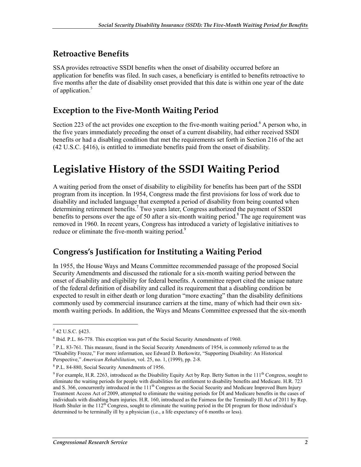### **Retroactive Benefits**

SSA provides retroactive SSDI benefits when the onset of disability occurred before an application for benefits was filed. In such cases, a beneficiary is entitled to benefits retroactive to five months after the date of disability onset provided that this date is within one year of the date of application.<sup>5</sup>

#### **Exception to the Five-Month Waiting Period**

Section 223 of the act provides one exception to the five-month waiting period.<sup>6</sup> A person who, in the five years immediately preceding the onset of a current disability, had either received SSDI benefits or had a disabling condition that met the requirements set forth in Section 216 of the act (42 U.S.C. §416), is entitled to immediate benefits paid from the onset of disability.

## **Legislative History of the SSDI Waiting Period**

A waiting period from the onset of disability to eligibility for benefits has been part of the SSDI program from its inception. In 1954, Congress made the first provisions for loss of work due to disability and included language that exempted a period of disability from being counted when determining retirement benefits.<sup>7</sup> Two years later, Congress authorized the payment of SSDI benefits to persons over the age of 50 after a six-month waiting period.<sup>8</sup> The age requirement was removed in 1960. In recent years, Congress has introduced a variety of legislative initiatives to reduce or eliminate the five-month waiting period.<sup>9</sup>

#### **Congress's Justification for Instituting a Waiting Period**

In 1955, the House Ways and Means Committee recommended passage of the proposed Social Security Amendments and discussed the rationale for a six-month waiting period between the onset of disability and eligibility for federal benefits. A committee report cited the unique nature of the federal definition of disability and called its requirement that a disabling condition be expected to result in either death or long duration "more exacting" than the disability definitions commonly used by commercial insurance carriers at the time, many of which had their own sixmonth waiting periods. In addition, the Ways and Means Committee expressed that the six-month

 $5$  42 U.S.C. §423.

 $6$  Ibid. P.L. 86-778. This exception was part of the Social Security Amendments of 1960.

<sup>&</sup>lt;sup>7</sup> P.L. 83-761. This measure, found in the Social Security Amendments of 1954, is commonly referred to as the "Disability Freeze," For more information, see Edward D. Berkowitz, "Supporting Disability: An Historical Perspective," *American Rehabilitation*, vol. 25, no. 1, (1999), pp. 2-8.

<sup>8</sup> P.L. 84-880, Social Security Amendments of 1956.

 $9$  For example, H.R. 2263, introduced as the Disability Equity Act by Rep. Betty Sutton in the  $111<sup>th</sup>$  Congress, sought to eliminate the waiting periods for people with disabilities for entitlement to disability benefits and Medicare. H.R. 723 and S. 366, concurrently introduced in the  $11<sup>th</sup>$  Congress as the Social Security and Medicare Improved Burn Injury Treatment Access Act of 2009, attempted to eliminate the waiting periods for DI and Medicare benefits in the cases of individuals with disabling burn injuries. H.R. 160, introduced as the Fairness for the Terminally Ill Act of 2011 by Rep. Heath Shuler in the  $112<sup>th</sup>$  Congress, sought to eliminate the waiting period in the DI program for those individual's determined to be terminally ill by a physician (i.e., a life expectancy of 6 months or less).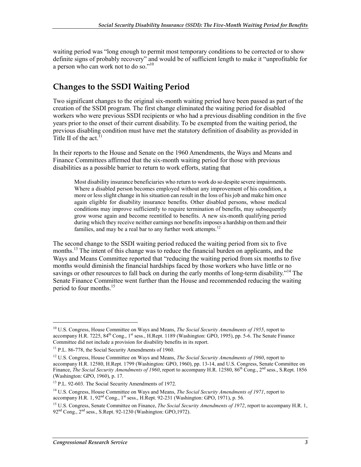waiting period was "long enough to permit most temporary conditions to be corrected or to show definite signs of probably recovery" and would be of sufficient length to make it "unprofitable for a person who can work not to do so."10

#### **Changes to the SSDI Waiting Period**

Two significant changes to the original six-month waiting period have been passed as part of the creation of the SSDI program. The first change eliminated the waiting period for disabled workers who were previous SSDI recipients or who had a previous disabling condition in the five years prior to the onset of their current disability. To be exempted from the waiting period, the previous disabling condition must have met the statutory definition of disability as provided in Title II of the act.<sup>11</sup>

In their reports to the House and Senate on the 1960 Amendments, the Ways and Means and Finance Committees affirmed that the six-month waiting period for those with previous disabilities as a possible barrier to return to work efforts, stating that

Most disability insurance beneficiaries who return to work do so despite severe impairments. Where a disabled person becomes employed without any improvement of his condition, a more or less slight change in his situation can result in the loss of his job and make him once again eligible for disability insurance benefits. Other disabled persons, whose medical conditions may improve sufficiently to require termination of benefits, may subsequently grow worse again and become reentitled to benefits. A new six-month qualifying period during which they receive neither earnings nor benefits imposes a hardship on them and their families, and may be a real bar to any further work attempts.<sup>12</sup>

The second change to the SSDI waiting period reduced the waiting period from six to five months.<sup>13</sup> The intent of this change was to reduce the financial burden on applicants, and the Ways and Means Committee reported that "reducing the waiting period from six months to five months would diminish the financial hardships faced by those workers who have little or no sayings or other resources to fall back on during the early months of long-term disability."<sup>14</sup> The Senate Finance Committee went further than the House and recommended reducing the waiting period to four months.<sup>15</sup>

<sup>10</sup> U.S. Congress, House Committee on Ways and Means, *The Social Security Amendments of 1955*, report to accompany H.R. 7225, 84<sup>th</sup> Cong., 1<sup>st</sup> sess., H.Rept. 1189 (Washington: GPO, 1995), pp. 5-6. The Senate Finance Committee did not include a provision for disability benefits in its report.

<sup>&</sup>lt;sup>11</sup> P.L. 86-778, the Social Security Amendments of 1960.

<sup>&</sup>lt;sup>12</sup> U.S. Congress, House Committee on Ways and Means, *The Social Security Amendments of 1960*, report to accompany H.R. 12580, H.Rept. 1799 (Washington: GPO, 1960), pp. 13-14, and U.S. Congress, Senate Committee on Finance, *The Social Security Amendments of 1960*, report to accompany H.R. 12580, 86<sup>th</sup> Cong., 2<sup>nd</sup> sess., S.Rept. 1856 (Washington: GPO, 1960), p. 17.

<sup>&</sup>lt;sup>13</sup> P.L. 92-603. The Social Security Amendments of 1972.

<sup>14</sup> U.S. Congress, House Committee on Ways and Means, *The Social Security Amendments of 1971*, report to accompany H.R. 1, 92<sup>nd</sup> Cong., 1<sup>st</sup> sess., H.Rept. 92-231 (Washington: GPO, 1971), p. 56.

<sup>&</sup>lt;sup>15</sup> U.S. Congress, Senate Committee on Finance, *The Social Security Amendments of 1972*, report to accompany H.R. 1, 92<sup>nd</sup> Cong., 2<sup>nd</sup> sess., S.Rept. 92-1230 (Washington: GPO, 1972).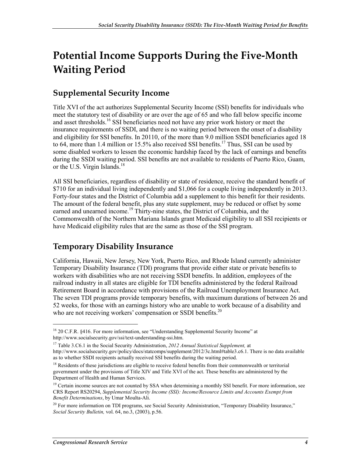# **Potential Income Supports During the Five-Month Waiting Period**

### **Supplemental Security Income**

Title XVI of the act authorizes Supplemental Security Income (SSI) benefits for individuals who meet the statutory test of disability or are over the age of 65 and who fall below specific income and asset thresholds.<sup>16</sup> SSI beneficiaries need not have any prior work history or meet the insurance requirements of SSDI, and there is no waiting period between the onset of a disability and eligibility for SSI benefits. In 20110, of the more than 9.0 million SSDI beneficiaries aged 18 to 64, more than 1.4 million or 15.5% also received SSI benefits.<sup>17</sup> Thus, SSI can be used by some disabled workers to lessen the economic hardship faced by the lack of earnings and benefits during the SSDI waiting period. SSI benefits are not available to residents of Puerto Rico, Guam, or the U.S. Virgin Islands.<sup>18</sup>

All SSI beneficiaries, regardless of disability or state of residence, receive the standard benefit of \$710 for an individual living independently and \$1,066 for a couple living independently in 2013. Forty-four states and the District of Columbia add a supplement to this benefit for their residents. The amount of the federal benefit, plus any state supplement, may be reduced or offset by some earned and unearned income.<sup>19</sup> Thirty-nine states, the District of Columbia, and the Commonwealth of the Northern Mariana Islands grant Medicaid eligibility to all SSI recipients or have Medicaid eligibility rules that are the same as those of the SSI program.

#### **Temporary Disability Insurance**

California, Hawaii, New Jersey, New York, Puerto Rico, and Rhode Island currently administer Temporary Disability Insurance (TDI) programs that provide either state or private benefits to workers with disabilities who are not receiving SSDI benefits. In addition, employees of the railroad industry in all states are eligible for TDI benefits administered by the federal Railroad Retirement Board in accordance with provisions of the Railroad Unemployment Insurance Act. The seven TDI programs provide temporary benefits, with maximum durations of between 26 and 52 weeks, for those with an earnings history who are unable to work because of a disability and who are not receiving workers' compensation or SSDI benefits.<sup>20</sup>

<sup>&</sup>lt;sup>16</sup> 20 C.F.R. §416. For more information, see "Understanding Supplemental Security Income" at http://www.socialsecurity.gov/ssi/text-understanding-ssi.htm.

<sup>17</sup> Table 3.C6.1 in the Social Security Administration, *2012 Annual Statistical Supplement,* at http://www.socialsecurity.gov/policy/docs/statcomps/supplement/2012/3c.html#table3.c6.1. There is no data available as to whether SSDI recipients actually received SSI benefits during the waiting period.

<sup>&</sup>lt;sup>18</sup> Residents of these jurisdictions are eligible to receive federal benefits from their commonwealth or territorial government under the provisions of Title XIV and Title XVI of the act. These benefits are administered by the Department of Health and Human Services.

<sup>&</sup>lt;sup>19</sup> Certain income sources are not counted by SSA when determining a monthly SSI benefit. For more information, see CRS Report RS20294, *Supplemental Security Income (SSI): Income/Resource Limits and Accounts Exempt from Benefit Determinations*, by Umar Moulta-Ali.

 $^{20}$  For more information on TDI programs, see Social Security Administration, "Temporary Disability Insurance," *Social Security Bulletin,* vol. 64, no.3, (2003), p.56.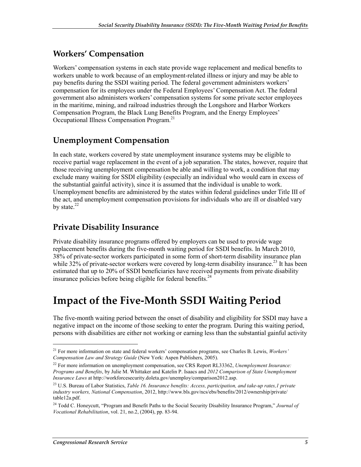#### **Workers' Compensation**

Workers' compensation systems in each state provide wage replacement and medical benefits to workers unable to work because of an employment-related illness or injury and may be able to pay benefits during the SSDI waiting period. The federal government administers workers' compensation for its employees under the Federal Employees' Compensation Act. The federal government also administers workers' compensation systems for some private sector employees in the maritime, mining, and railroad industries through the Longshore and Harbor Workers Compensation Program, the Black Lung Benefits Program, and the Energy Employees' Occupational Illness Compensation Program.<sup>21</sup>

#### **Unemployment Compensation**

In each state, workers covered by state unemployment insurance systems may be eligible to receive partial wage replacement in the event of a job separation. The states, however, require that those receiving unemployment compensation be able and willing to work, a condition that may exclude many waiting for SSDI eligibility (especially an individual who would earn in excess of the substantial gainful activity), since it is assumed that the individual is unable to work. Unemployment benefits are administered by the states within federal guidelines under Title III of the act, and unemployment compensation provisions for individuals who are ill or disabled vary by state.<sup>22</sup>

#### **Private Disability Insurance**

Private disability insurance programs offered by employers can be used to provide wage replacement benefits during the five-month waiting period for SSDI benefits. In March 2010, 38% of private-sector workers participated in some form of short-term disability insurance plan while 32% of private-sector workers were covered by long-term disability insurance.<sup>23</sup> It has been estimated that up to 20% of SSDI beneficiaries have received payments from private disability insurance policies before being eligible for federal benefits.<sup>24</sup>

### **Impact of the Five-Month SSDI Waiting Period**

The five-month waiting period between the onset of disability and eligibility for SSDI may have a negative impact on the income of those seeking to enter the program. During this waiting period, persons with disabilities are either not working or earning less than the substantial gainful activity

<sup>21</sup> For more information on state and federal workers' compensation programs, see Charles B. Lewis, *Workers' Compensation Law and Strategy Guide* (New York: Aspen Publishers, 2005).

<sup>22</sup> For more information on unemployment compensation, see CRS Report RL33362, *Unemployment Insurance: Programs and Benefits*, by Julie M. Whittaker and Katelin P. Isaacs and *2012 Comparison of State Unemployment Insurance Laws* at http://workforcesecurity.doleta.gov/unemploy/comparison2012.asp.

<sup>23</sup> U.S. Bureau of Labor Statistics, *Table 16. Insurance benefits: Access, participation, and take-up rates,1 private industry workers, National Compensation*, 2012, http://www.bls.gov/ncs/ebs/benefits/2012/ownership/private/ table12a.pdf.

<sup>24</sup> Todd C. Honeycutt, "Program and Benefit Paths to the Social Security Disability Insurance Program," *Journal of Vocational Rehabilitation*, vol. 21, no.2, (2004), pp. 83-94.